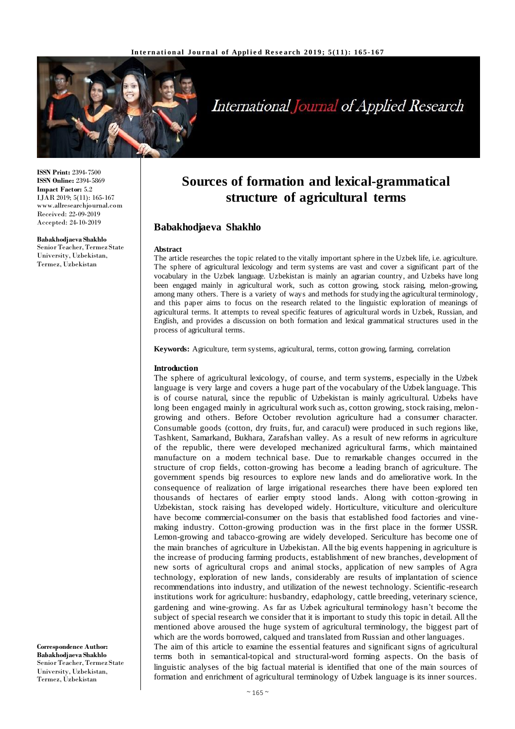

# International Journal of Applied Research

**ISSN Print:** 2394-7500 **ISSN Online:** 2394-5869 **Impact Factor:** 5.2 IJAR 2019; 5(11): 165-167 www.allresearchjournal.com Received: 22-09-2019 Accepted: 24-10-2019

#### **Babakhodjaeva Shakhlo**

Senior Teacher, Termez State University, Uzbekistan, Termez, Uzbekistan

**Sources of formation and lexical-grammatical structure of agricultural terms**

## **Babakhodjaeva Shakhlo**

#### **Abstract**

The article researches the topic related to the vitally important sphere in the Uzbek life, i.e. agriculture. The sphere of agricultural lexicology and term systems are vast and cover a significant part of the vocabulary in the Uzbek language. Uzbekistan is mainly an agrarian country, and Uzbeks have long been engaged mainly in agricultural work, such as cotton growing, stock raising, melon-growing, among many others. There is a variety of ways and methods for studying the agricultural terminology, and this paper aims to focus on the research related to the linguistic exploration of meanings of agricultural terms. It attempts to reveal specific features of agricultural words in Uzbek, Russian, and English, and provides a discussion on both formation and lexical grammatical structures used in the process of agricultural terms.

**Keywords:** Agriculture, term systems, agricultural, terms, cotton growing, farming, correlation

#### **Introduction**

The sphere of agricultural lexicology, of course, and term systems, especially in the Uzbek language is very large and covers a huge part of the vocabulary of the Uzbek language. This is of course natural, since the republic of Uzbekistan is mainly agricultural. Uzbeks have long been engaged mainly in agricultural work such as, cotton growing, stock raising, melongrowing and others. Before October revolution agriculture had a consumer character. Consumable goods (cotton, dry fruits, fur, and caracul) were produced in such regions like, Tashkent, Samarkand, Bukhara, Zarafshan valley. As a result of new reforms in agriculture of the republic, there were developed mechanized agricultural farms, which maintained manufacture on a modern technical base. Due to remarkable changes occurred in the structure of crop fields, cotton-growing has become a leading branch of agriculture. The government spends big resources to explore new lands and do ameliorative work. In the consequence of realization of large irrigational researches there have been explored ten thousands of hectares of earlier empty stood lands. Along with cotton -growing in Uzbekistan, stock raising has developed widely. Horticulture, viticulture and olericulture have become commercial-consumer on the basis that established food factories and vinemaking industry. Cotton-growing production was in the first place in the former USSR. Lemon-growing and tabacco-growing are widely developed. Sericulture has become one of the main branches of agriculture in Uzbekistan. All the big events happening in agriculture is the increase of producing farming products, establishment of new branches, development of new sorts of agricultural crops and animal stocks, application of new samples of Agra technology, exploration of new lands, considerably are results of implantation of science recommendations into industry, and utilization of the newest technology. Scientific -research institutions work for agriculture: husbandry, edaphology, cattle breeding, veterinary science, gardening and wine-growing. As far as Uzbek agricultural terminology hasn't become the subject of special research we consider that it is important to study this topic in detail. All the mentioned above aroused the huge system of agricultural terminology, the biggest part of which are the words borrowed, calqued and translated from Russian and other languages. The aim of this article to examine the essential features and significant signs of agricultural terms both in semantical-topical and structural-word forming aspects. On the basis of linguistic analyses of the big factual material is identified that one of the main sources of formation and enrichment of agricultural terminology of Uzbek language is its inner sources.

**Correspondence Author: Babakhodjaeva Shakhlo** Senior Teacher, Termez State University, Uzbekistan, Termez, Uzbekistan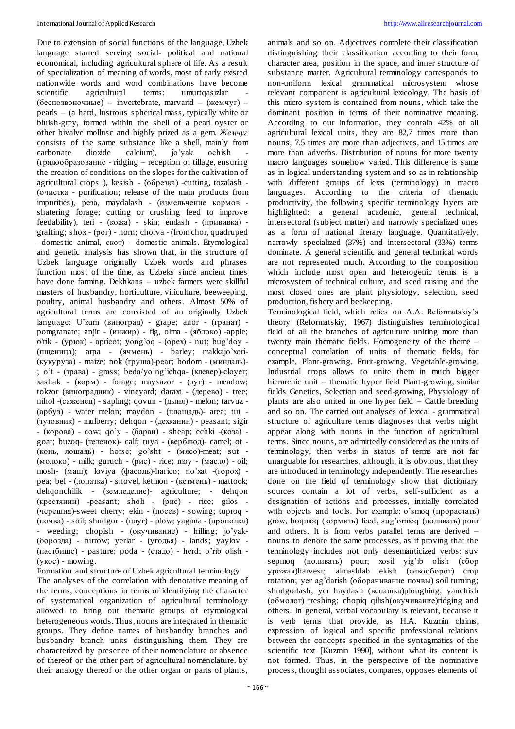Due to extension of social functions of the language, Uzbek language started serving social- political and national economical, including agricultural sphere of life. As a result of specialization of meaning of words, most of early existed nationwide words and word combinations have become<br>scientific agricultural terms: umurtaasizlar scientific agricultural terms: umurtqasizlar (беспозвоночные) – invertebrate, marvarid –  $(\text{кемчуг})$  – pearls – (a hard, lustrous spherical mass, typically white or bluish-grey, formed within the shell of a pearl oyster or other bivalve mollusc and highly prized as a gem. *Жемчуг* consists of the same substance like a shell, mainly from carbonate dioxide calcium), jo'yak ochish carbonate dioxide calcium), jo'yak ochish - (грядообразование - ridging – reception of tillage, ensuring the creation of conditions on the slopes for the cultivation of agricultural crops ), kesish - (обрезка) -cutting, tozalash - (очистка - purification; release of the main products from impurities), реза, maydalash - (измельчение кормов shatering forage; cutting or crushing feed to improve feedability), teri - (кожа) - skin; emlash - (прививка) grafting; shox - (рог) - horn; chorva - (from chor, quadruped –domestic animal, скот) - domestic animals. Etymological and genetic analysis has shown that, in the structure of Uzbek language originally Uzbek words and phrases function most of the time, as Uzbeks since ancient times have done farming. Dekhkans – uzbek farmers were skillful masters of husbandry, horticulture, viticulture, beeweeping, poultry, animal husbandry and others. Almost 50% of agricultural terms are consisted of an originally Uzbek language: U'zum (виноград) - grape; anor - (гранат) pomgranate; anjir - (инжир) - fig, olma - (яблоко) -apple; o'rik - (урюк) - apricot; yong'oq - (орех) - nut; bug'doy - (пщеница); arpa - (ячмень) - barley; makkajo'xori- (кукуруза) - maize; nok (груша)-реаг; bodom - (миндаль)- ; o't - (трава) - grass; beda/yo'ng'ichqa- (клевер)-сlоуег; xashak - (корм) - forage; maysazor - (луг) - meadow; tokzor (виноградник) - vineyard; daraxt - (дерево) - tree; nihol -(саженец) - sapling; qovun - (дыня) - melon; tarvuz - (арбуз) - water melon; maydon - (площадь)- area; tut - (тутовник) - mulberry; dehqon - (дехканин) - peasant; sigir - (корова) - cow; qo'y - (баран) - sheap; echki -(коза) goat; buzoq- (теленок)- calf; tuya - (верблюд)- camel; ot - (конь, лошадь) - horse; go'sht - (мясо)-meat; sut - (молоко) - milk; guruch - (рис) - rice; moy - (масло) - oil; mosh- (маш); loviya (фасоль)-hагісо; no'xat -(горох) pea; bel - (лопаткa) - shovel, ketmon - (кетмень) - mattock; dehqonchilik - (земледелие)- agriculture; - dehqon (крестянин) -peasant; sholi - (рис) - rice; gilos - (черешня)-sweet cherry; ekin - (посев) - sowing; tuproq - (почва) - soil; shudgor - (плуг) - plow; yagana - (прополка) - weeding; chopish - (окучивание) - hilling; jo'yak- (борозда) - furrow; yerlar - (угодья) - lands; yaylov - (пастбище) - pasture; poda - (стадо) - herd; o'rib olish - (укос) - mowing.

Formation and structure of Uzbek agricultural terminology The analyses of the correlation with denotative meaning of the terms, conceptions in terms of identifying the character of systematical organization of agricultural terminology allowed to bring out thematic groups of etymological heterogeneous words. Thus, nouns are integrated in thematic groups. They define names of husbandry branches and husbandry branch units distinguishing them. They are characterized by presence of their nomenclature or absence of thereof or the other part of agricultural nomenclature, by their analogy thereof or the other organ or parts of plants,

animals and so on. Adjectives complete their classification distinguishing their classification according to their form, character area, position in the space, and inner structure of substance matter. Agricultural terminology corresponds to non-uniform lexical grammatical microsystem whose relevant component is agricultural lexicology. The basis of this micro system is contained from nouns, which take the dominant position in terms of their nominative meaning. According to our information, they contain 42% of all agricultural lexical units, they are 82,7 times more than nouns, 7.5 times are more than adjectives, and 15 times are more than adverbs. Distribution of nouns for more twenty macro languages somehow varied. This difference is same as in logical understanding system and so as in relationship with different groups of lexis (terminology) in macro languages. According to the criteria of thematic productivity, the following specific terminology layers are highlighted: a general academic, general technical, intersectoral (subject matter) and narrowly specialized ones as a form of national literary language. Quantitatively, narrowly specialized (37%) and intersectoral (33%) terms dominate. A general scientific and general technical words are not represented much. According to the composition which include most open and heterogenic terms is a microsystem of technical culture, and seed raising and the most closed ones are plant physiology, selection, seed production, fishery and beekeeping.

Terminological field, which relies on A.A. Reformatskiy's theory (Reformatskiy, 1967) distinguishes terminological field of all the branches of agriculture uniting more than twenty main thematic fields. Homogeneity of the theme – conceptual correlation of units of thematic fields, for example, Plant-growing, Fruit-growing, Vegetable-growing, Industrial crops allows to unite them in much bigger hierarchic unit – thematic hyper field Plant-growing, similar fields Genetics, Selection and seed-growing, Physiology of plants are also united in one hyper field – Cattle breeding and so on. The carried out analyses of lexical - grammatical structure of agriculture terms diagnoses that verbs might appear along with nouns in the function of agricultural terms. Since nouns, are admittedly considered as the units of terminology, then verbs in status of terms are not far unarguable for researches, although, it is obvious, that they are introduced in terminology independently. The researches done on the field of terminology show that dictionary sources contain a lot of verbs, self-sufficient as a designation of actions and processes, initially correlated with objects and tools. For example: o'smoq (прорастать) grow, boqmoq (кормить) feed, sug'ormoq (поливать) pour and others. It is from verbs parallel terms are derived – nouns to denote the same processes, as if proving that the terminology includes not only desemanticized verbs: suv sepmoq (поливать) pour; xosil yig'ib olish (сбор урожая)harvest; almashlab ekish (севооборот) crop rotation; yer ag'darish (оборачивание почвы) soil turning; shudgorlash, yer haydash (вспашка)ploughing; yanchish (обмолот) treshing; chopiq qilish(окучивание)ridging and others. In general, verbal vocabulary is relevant, because it is verb terms that provide, as H.A. Kuzmin claims, expression of logical and specific professional relations between the concepts specified in the syntagmatics of the scientific text [Kuzmin 1990], without what its content is not formed. Thus, in the perspective of the nominative process, thought associates, compares, opposes elements of